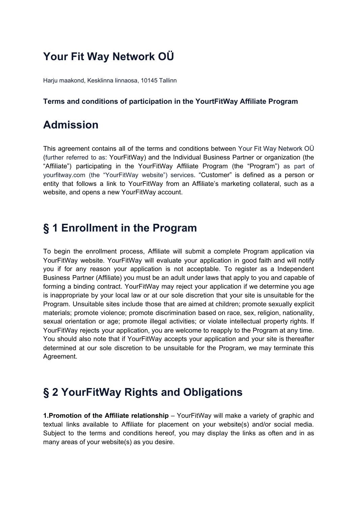## **Your Fit Way Network OÜ**

Harju maakond, Kesklinna linnaosa, 10145 Tallinn

#### **Terms and conditions of participation in the YourtFitWay Affiliate Program**

#### **Admission**

This agreement contains all of the terms and conditions between Your Fit Way Network OÜ (further referred to as: YourFitWay) and the Individual Business Partner or organization (the "Affiliate") participating in the YourFitWay Affiliate Program (the "Program") as part of yourfitway.com (the "YourFitWay website") services. "Customer" is defined as a person or entity that follows a link to YourFitWay from an Affiliate's marketing collateral, such as a website, and opens a new YourFitWay account.

#### **§ 1 Enrollment in the Program**

To begin the enrollment process, Affiliate will submit a complete Program application via YourFitWay website. YourFitWay will evaluate your application in good faith and will notify you if for any reason your application is not acceptable. To register as a Independent Business Partner (Affiliate) you must be an adult under laws that apply to you and capable of forming a binding contract. YourFitWay may reject your application if we determine you age is inappropriate by your local law or at our sole discretion that your site is unsuitable for the Program. Unsuitable sites include those that are aimed at children; promote sexually explicit materials; promote violence; promote discrimination based on race, sex, religion, nationality, sexual orientation or age; promote illegal activities; or violate intellectual property rights. If YourFitWay rejects your application, you are welcome to reapply to the Program at any time. You should also note that if YourFitWay accepts your application and your site is thereafter determined at our sole discretion to be unsuitable for the Program, we may terminate this Agreement.

#### **§ 2 YourFitWay Rights and Obligations**

**1.Promotion of the Affiliate relationship** – YourFitWay will make a variety of graphic and textual links available to Affiliate for placement on your website(s) and/or social media. Subject to the terms and conditions hereof, you may display the links as often and in as many areas of your website(s) as you desire.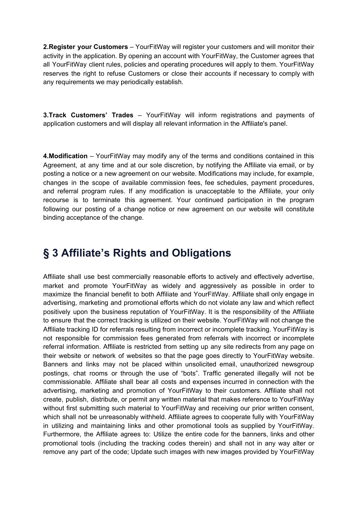**2.Register your Customers** – YourFitWay will register your customers and will monitor their activity in the application. By opening an account with YourFitWay, the Customer agrees that all YourFitWay client rules, policies and operating procedures will apply to them. YourFitWay reserves the right to refuse Customers or close their accounts if necessary to comply with any requirements we may periodically establish.

**3.Track Customers' Trades** – YourFitWay will inform registrations and payments of application customers and will display all relevant information in the Affiliate's panel.

**4.Modification** – YourFitWay may modify any of the terms and conditions contained in this Agreement, at any time and at our sole discretion, by notifying the Affiliate via email, or by posting a notice or a new agreement on our website. Modifications may include, for example, changes in the scope of available commission fees, fee schedules, payment procedures, and referral program rules. If any modification is unacceptable to the Affiliate, your only recourse is to terminate this agreement. Your continued participation in the program following our posting of a change notice or new agreement on our website will constitute binding acceptance of the change.

#### **§ 3 Affiliate's Rights and Obligations**

Affiliate shall use best commercially reasonable efforts to actively and effectively advertise, market and promote YourFitWay as widely and aggressively as possible in order to maximize the financial benefit to both Affiliate and YourFitWay. Affiliate shall only engage in advertising, marketing and promotional efforts which do not violate any law and which reflect positively upon the business reputation of YourFitWay. It is the responsibility of the Affiliate to ensure that the correct tracking is utilized on their website. YourFitWay will not change the Affiliate tracking ID for referrals resulting from incorrect or incomplete tracking. YourFitWay is not responsible for commission fees generated from referrals with incorrect or incomplete referral information. Affiliate is restricted from setting up any site redirects from any page on their website or network of websites so that the page goes directly to YourFitWay website. Banners and links may not be placed within unsolicited email, unauthorized newsgroup postings, chat rooms or through the use of "bots". Traffic generated illegally will not be commissionable. Affiliate shall bear all costs and expenses incurred in connection with the advertising, marketing and promotion of YourFitWay to their customers. Affiliate shall not create, publish, distribute, or permit any written material that makes reference to YourFitWay without first submitting such material to YourFitWay and receiving our prior written consent, which shall not be unreasonably withheld. Affiliate agrees to cooperate fully with YourFitWay in utilizing and maintaining links and other promotional tools as supplied by YourFitWay. Furthermore, the Affiliate agrees to: Utilize the entire code for the banners, links and other promotional tools (including the tracking codes therein) and shall not in any way alter or remove any part of the code; Update such images with new images provided by YourFitWay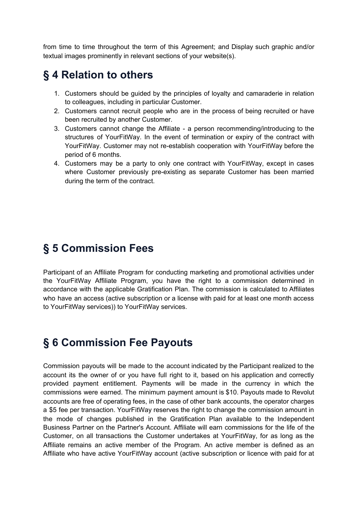from time to time throughout the term of this Agreement; and Display such graphic and/or textual images prominently in relevant sections of your website(s).

#### **§ 4 Relation to others**

- 1. Customers should be guided by the principles of loyalty and camaraderie in relation to colleagues, including in particular Customer.
- 2. Customers cannot recruit people who are in the process of being recruited or have been recruited by another Customer.
- 3. Customers cannot change the Affiliate a person recommending/introducing to the structures of YourFitWay. In the event of termination or expiry of the contract with YourFitWay. Customer may not re-establish cooperation with YourFitWay before the period of 6 months.
- 4. Customers may be a party to only one contract with YourFitWay, except in cases where Customer previously pre-existing as separate Customer has been married during the term of the contract.

#### **§ 5 Commission Fees**

Participant of an Affiliate Program for conducting marketing and promotional activities under the YourFitWay Affiliate Program, you have the right to a commission determined in accordance with the applicable Gratification Plan. The commission is calculated to Affiliates who have an access (active subscription or a license with paid for at least one month access to YourFitWay services)) to YourFitWay services.

#### **§ 6 Commission Fee Payouts**

Commission payouts will be made to the account indicated by the Participant realized to the account its the owner of or you have full right to it, based on his application and correctly provided payment entitlement. Payments will be made in the currency in which the commissions were earned. The minimum payment amount is \$10. Payouts made to Revolut accounts are free of operating fees, in the case of other bank accounts, the operator charges a \$5 fee per transaction. YourFitWay reserves the right to change the commission amount in the mode of changes published in the Gratification Plan available to the Independent Business Partner on the Partner's Account. Affiliate will earn commissions for the life of the Customer, on all transactions the Customer undertakes at YourFitWay, for as long as the Affiliate remains an active member of the Program. An active member is defined as an Affiliate who have active YourFitWay account (active subscription or licence with paid for at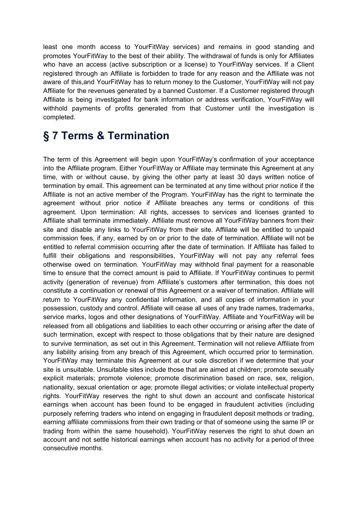least one month access to YourFitWay services) and remains in good standing and promotes YourFitWay to the best of their ability. The withdrawal of funds is only for Affiliates who have an access (active subscription or a license) to YourFitWay services. If a Client registered through an Affiliate is forbidden to trade for any reason and the Affiliate was not aware of this,and YourFitWay has to return money to the Customer, YourFitWay will not pay Affiliate for the revenues generated by a banned Customer. If a Customer registered through Affiliate is being investigated for bank information or address verification, YourFitWay will withhold payments of profits generated from that Customer until the investigation is completed.

### **§ 7 Terms & Termination**

The term of this Agreement will begin upon YourFitWay's confirmation of your acceptance into the Affiliate program. Either YourFitWay or Affiliate may terminate this Agreement at any time, with or without cause, by giving the other party at least 30 days written notice of termination by email. This agreement can be terminated at any time without prior notice if the Affiliate is not an active member of the Program. YourFitWay has the right to terminate the agreement without prior notice if Affiliate breaches any terms or conditions of this agreement. Upon termination: All rights, accesses to services and licenses granted to Affiliate shall terminate immediately. Affiliate must remove all YourFitWay banners from their site and disable any links to YourFitWay from their site. Affiliate will be entitled to unpaid commission fees, if any, earned by on or prior to the date of termination. Affiliate will not be entitled to referral commision occurring after the date of termination. If Affiliate has failed to fulfill their obligations and responsibilities, YourFitWay will not pay any referral fees otherwise owed on termination. YourFitWay may withhold final payment for a reasonable time to ensure that the correct amount is paid to Affiliate. If YourFitWay continues to permit activity (generation of revenue) from Affiliate's customers after termination, this does not constitute a continuation or renewal of this Agreement or a waiver of termination. Affiliate will return to YourFitWay any confidential information, and all copies of information in your possession, custody and control. Affiliate will cease all uses of any trade names, trademarks, service marks, logos and other designations of YourFitWay. Affiliate and YourFitWay will be released from all obligations and liabilities to each other occurring or arising after the date of such termination, except with respect to those obligations that by their nature are designed to survive termination, as set out in this Agreement. Termination will not relieve Affiliate from any liability arising from any breach of this Agreement, which occurred prior to termination. YourFitWay may terminate this Agreement at our sole discretion if we determine that your site is unsuitable. Unsuitable sites include those that are aimed at children; promote sexually explicit materials; promote violence; promote discrimination based on race, sex, religion, nationality, sexual orientation or age; promote illegal activities; or violate intellectual property rights. YourFitWay reserves the right to shut down an account and confiscate historical earnings when account has been found to be engaged in fraudulent activities (including purposely referring traders who intend on engaging in fraudulent deposit methods or trading, earning affiliate commissions from their own trading or that of someone using the same IP or trading from within the same household). YourFitWay reserves the right to shut down an account and not settle historical earnings when account has no activity for a period of three consecutive months.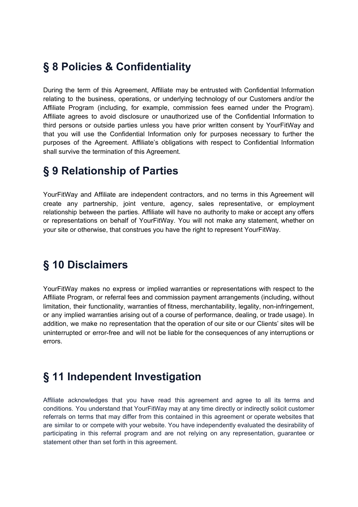#### **§ 8 Policies & Confidentiality**

During the term of this Agreement, Affiliate may be entrusted with Confidential Information relating to the business, operations, or underlying technology of our Customers and/or the Affiliate Program (including, for example, commission fees earned under the Program). Affiliate agrees to avoid disclosure or unauthorized use of the Confidential Information to third persons or outside parties unless you have prior written consent by YourFitWay and that you will use the Confidential Information only for purposes necessary to further the purposes of the Agreement. Affiliate's obligations with respect to Confidential Information shall survive the termination of this Agreement.

#### **§ 9 Relationship of Parties**

YourFitWay and Affiliate are independent contractors, and no terms in this Agreement will create any partnership, joint venture, agency, sales representative, or employment relationship between the parties. Affiliate will have no authority to make or accept any offers or representations on behalf of YourFitWay. You will not make any statement, whether on your site or otherwise, that construes you have the right to represent YourFitWay.

#### **§ 10 Disclaimers**

YourFitWay makes no express or implied warranties or representations with respect to the Affiliate Program, or referral fees and commission payment arrangements (including, without limitation, their functionality, warranties of fitness, merchantability, legality, non-infringement, or any implied warranties arising out of a course of performance, dealing, or trade usage). In addition, we make no representation that the operation of our site or our Clients' sites will be uninterrupted or error-free and will not be liable for the consequences of any interruptions or errors.

#### **§ 11 Independent Investigation**

Affiliate acknowledges that you have read this agreement and agree to all its terms and conditions. You understand that YourFitWay may at any time directly or indirectly solicit customer referrals on terms that may differ from this contained in this agreement or operate websites that are similar to or compete with your website. You have independently evaluated the desirability of participating in this referral program and are not relying on any representation, guarantee or statement other than set forth in this agreement.